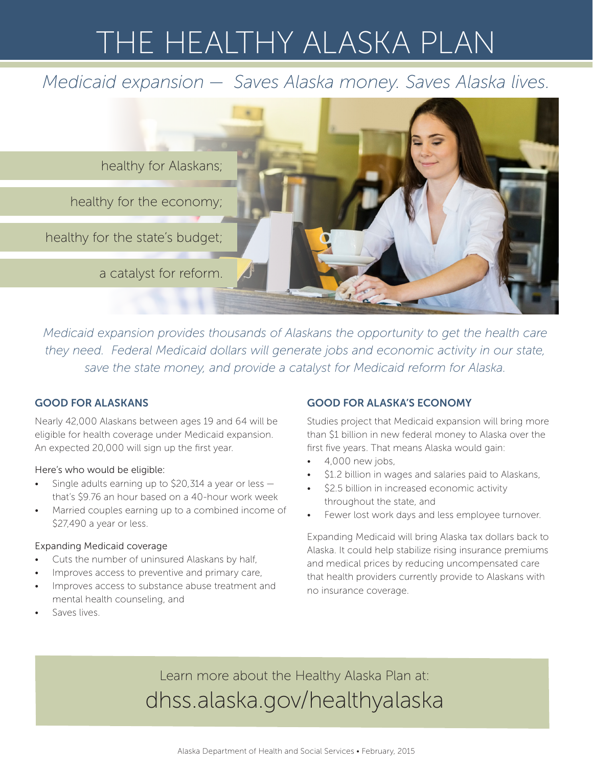# THE HEALTHY ALASKA PLAN

## *Medicaid expansion — Saves Alaska money. Saves Alaska lives.*



*Medicaid expansion provides thousands of Alaskans the opportunity to get the health care they need. Federal Medicaid dollars will generate jobs and economic activity in our state, save the state money, and provide a catalyst for Medicaid reform for Alaska.* 

### GOOD FOR ALASKANS

Nearly 42,000 Alaskans between ages 19 and 64 will be eligible for health coverage under Medicaid expansion. An expected 20,000 will sign up the first year.

#### Here's who would be eligible:

- Single adults earning up to \$20,314 a year or less  $$ that's \$9.76 an hour based on a 40-hour work week
- Married couples earning up to a combined income of \$27,490 a year or less.

#### Expanding Medicaid coverage

- Cuts the number of uninsured Alaskans by half,
- Improves access to preventive and primary care,
- Improves access to substance abuse treatment and mental health counseling, and

# GOOD FOR ALASKA'S ECONOMY

Studies project that Medicaid expansion will bring more than \$1 billion in new federal money to Alaska over the first five years. That means Alaska would gain:

- 4,000 new jobs,
- \$1.2 billion in wages and salaries paid to Alaskans,
- \$2.5 billion in increased economic activity throughout the state, and
- Fewer lost work days and less employee turnover.

Expanding Medicaid will bring Alaska tax dollars back to Alaska. It could help stabilize rising insurance premiums and medical prices by reducing uncompensated care that health providers currently provide to Alaskans with no insurance coverage.

• Saves lives.

Learn more about the Healthy Alaska Plan at: dhss.alaska.gov/healthyalaska